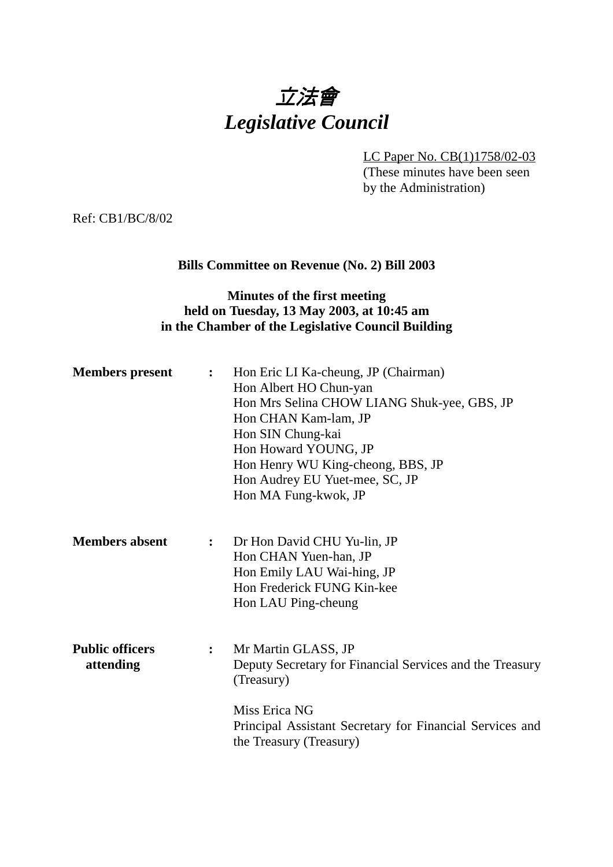

LC Paper No. CB(1)1758/02-03 (These minutes have been seen by the Administration)

Ref: CB1/BC/8/02

### **Bills Committee on Revenue (No. 2) Bill 2003**

### **Minutes of the first meeting held on Tuesday, 13 May 2003, at 10:45 am in the Chamber of the Legislative Council Building**

| <b>Members</b> present              | $\ddot{\cdot}$   | Hon Eric LI Ka-cheung, JP (Chairman)<br>Hon Albert HO Chun-yan<br>Hon Mrs Selina CHOW LIANG Shuk-yee, GBS, JP<br>Hon CHAN Kam-lam, JP<br>Hon SIN Chung-kai<br>Hon Howard YOUNG, JP<br>Hon Henry WU King-cheong, BBS, JP<br>Hon Audrey EU Yuet-mee, SC, JP<br>Hon MA Fung-kwok, JP |
|-------------------------------------|------------------|-----------------------------------------------------------------------------------------------------------------------------------------------------------------------------------------------------------------------------------------------------------------------------------|
| <b>Members absent</b>               | $\ddot{\cdot}$   | Dr Hon David CHU Yu-lin, JP<br>Hon CHAN Yuen-han, JP<br>Hon Emily LAU Wai-hing, JP<br>Hon Frederick FUNG Kin-kee<br>Hon LAU Ping-cheung                                                                                                                                           |
| <b>Public officers</b><br>attending | $\ddot{\bullet}$ | Mr Martin GLASS, JP<br>Deputy Secretary for Financial Services and the Treasury<br>(Treasury)<br>Miss Erica NG<br>Principal Assistant Secretary for Financial Services and<br>the Treasury (Treasury)                                                                             |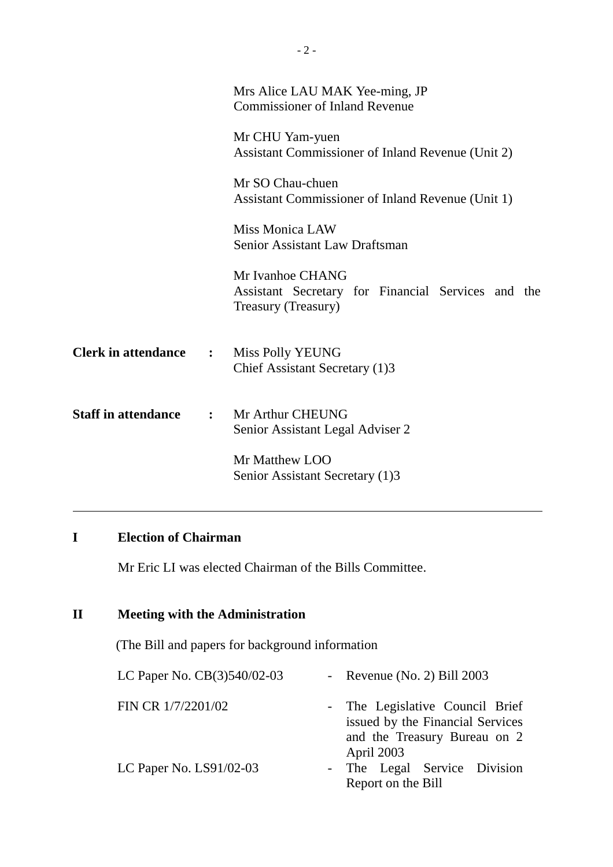|                              | Mrs Alice LAU MAK Yee-ming, JP<br><b>Commissioner of Inland Revenue</b>                       |  |
|------------------------------|-----------------------------------------------------------------------------------------------|--|
|                              | Mr CHU Yam-yuen<br>Assistant Commissioner of Inland Revenue (Unit 2)                          |  |
|                              | Mr SO Chau-chuen<br>Assistant Commissioner of Inland Revenue (Unit 1)                         |  |
|                              | <b>Miss Monica LAW</b><br>Senior Assistant Law Draftsman                                      |  |
|                              | Mr Ivanhoe CHANG<br>Assistant Secretary for Financial Services and the<br>Treasury (Treasury) |  |
| <b>Clerk in attendance :</b> | Miss Polly YEUNG<br>Chief Assistant Secretary (1)3                                            |  |
| <b>Staff in attendance</b>   | : Mr Arthur CHEUNG<br>Senior Assistant Legal Adviser 2                                        |  |
|                              | Mr Matthew LOO<br>Senior Assistant Secretary (1)3                                             |  |

# **I Election of Chairman**

Mr Eric LI was elected Chairman of the Bills Committee.

# **II Meeting with the Administration**

(The Bill and papers for background information

| LC Paper No. $CB(3)540/02-03$ | - Revenue (No. 2) Bill $2003$                                                                                     |  |  |
|-------------------------------|-------------------------------------------------------------------------------------------------------------------|--|--|
| FIN CR 1/7/2201/02            | - The Legislative Council Brief<br>issued by the Financial Services<br>and the Treasury Bureau on 2<br>April 2003 |  |  |
| LC Paper No. $LS91/02-03$     | - The Legal Service Division<br>Report on the Bill                                                                |  |  |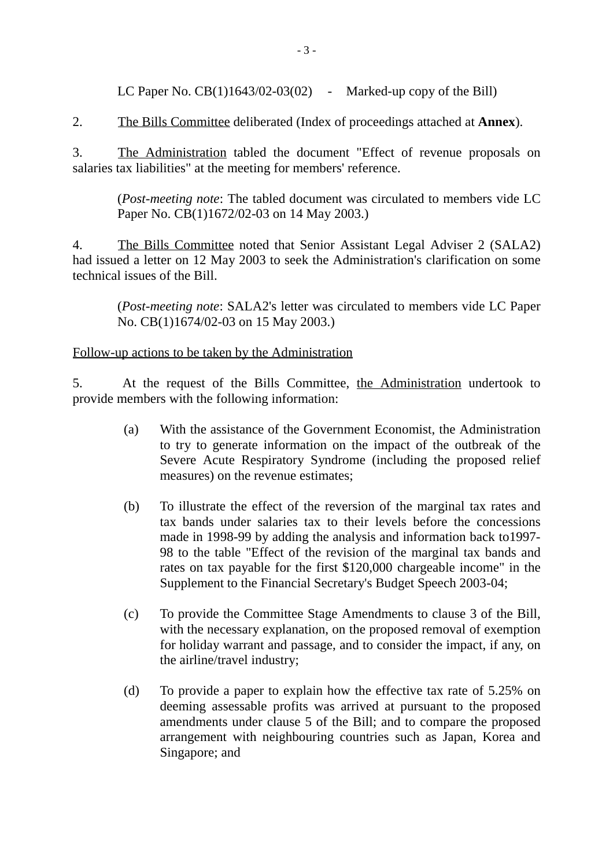LC Paper No.  $CB(1)1643/02-03(02)$  - Marked-up copy of the Bill)

2. The Bills Committee deliberated (Index of proceedings attached at **Annex**).

3. The Administration tabled the document "Effect of revenue proposals on salaries tax liabilities" at the meeting for members' reference.

(*Post-meeting note*: The tabled document was circulated to members vide LC Paper No. CB(1)1672/02-03 on 14 May 2003.)

4. The Bills Committee noted that Senior Assistant Legal Adviser 2 (SALA2) had issued a letter on 12 May 2003 to seek the Administration's clarification on some technical issues of the Bill.

(*Post-meeting note*: SALA2's letter was circulated to members vide LC Paper No. CB(1)1674/02-03 on 15 May 2003.)

#### Follow-up actions to be taken by the Administration

5. At the request of the Bills Committee, the Administration undertook to provide members with the following information:

- (a) With the assistance of the Government Economist, the Administration to try to generate information on the impact of the outbreak of the Severe Acute Respiratory Syndrome (including the proposed relief measures) on the revenue estimates;
- (b) To illustrate the effect of the reversion of the marginal tax rates and tax bands under salaries tax to their levels before the concessions made in 1998-99 by adding the analysis and information back to1997- 98 to the table "Effect of the revision of the marginal tax bands and rates on tax payable for the first \$120,000 chargeable income" in the Supplement to the Financial Secretary's Budget Speech 2003-04;
- (c) To provide the Committee Stage Amendments to clause 3 of the Bill, with the necessary explanation, on the proposed removal of exemption for holiday warrant and passage, and to consider the impact, if any, on the airline/travel industry;
- (d) To provide a paper to explain how the effective tax rate of 5.25% on deeming assessable profits was arrived at pursuant to the proposed amendments under clause 5 of the Bill; and to compare the proposed arrangement with neighbouring countries such as Japan, Korea and Singapore; and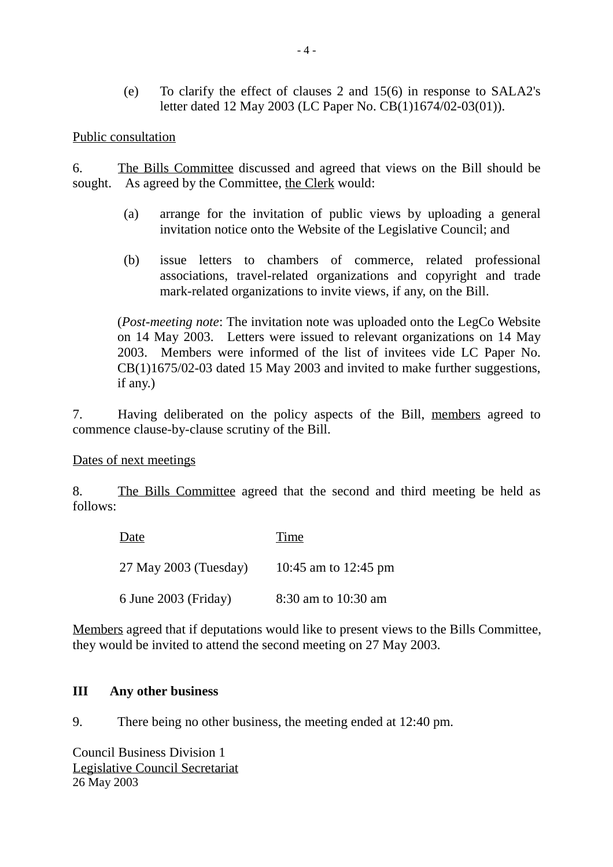(e) To clarify the effect of clauses 2 and 15(6) in response to SALA2's letter dated 12 May 2003 (LC Paper No. CB(1)1674/02-03(01)).

Public consultation

6. The Bills Committee discussed and agreed that views on the Bill should be sought. As agreed by the Committee, the Clerk would:

- (a) arrange for the invitation of public views by uploading a general invitation notice onto the Website of the Legislative Council; and
- (b) issue letters to chambers of commerce, related professional associations, travel-related organizations and copyright and trade mark-related organizations to invite views, if any, on the Bill.

(*Post-meeting note*: The invitation note was uploaded onto the LegCo Website on 14 May 2003. Letters were issued to relevant organizations on 14 May 2003. Members were informed of the list of invitees vide LC Paper No. CB(1)1675/02-03 dated 15 May 2003 and invited to make further suggestions, if any.)

7. Having deliberated on the policy aspects of the Bill, members agreed to commence clause-by-clause scrutiny of the Bill.

Dates of next meetings

8. The Bills Committee agreed that the second and third meeting be held as follows:

| Date                   | <b>Time</b>          |
|------------------------|----------------------|
| 27 May 2003 (Tuesday)  | 10:45 am to 12:45 pm |
| $6$ June 2003 (Friday) | 8:30 am to 10:30 am  |

Members agreed that if deputations would like to present views to the Bills Committee, they would be invited to attend the second meeting on 27 May 2003.

#### **III Any other business**

9. There being no other business, the meeting ended at 12:40 pm.

Council Business Division 1 Legislative Council Secretariat 26 May 2003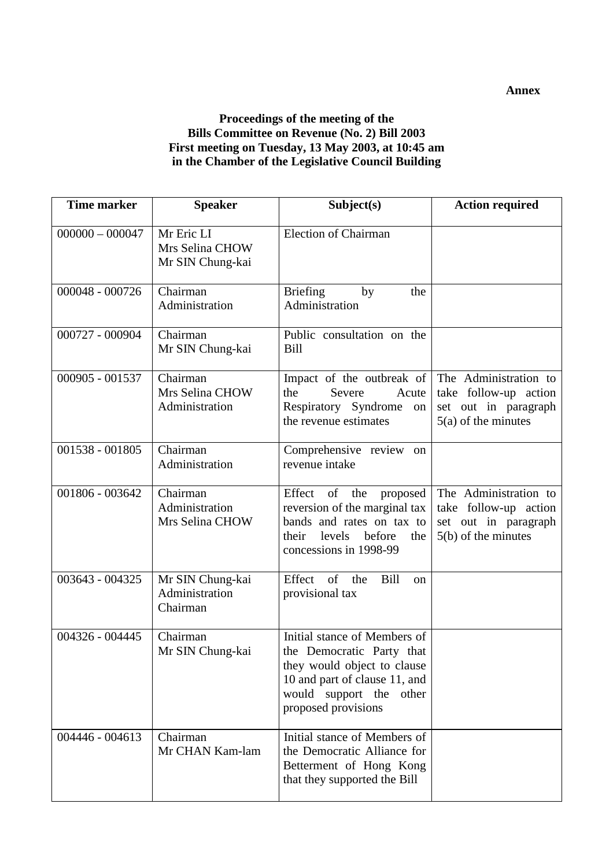#### **Annex**

#### **Proceedings of the meeting of the Bills Committee on Revenue (No. 2) Bill 2003 First meeting on Tuesday, 13 May 2003, at 10:45 am in the Chamber of the Legislative Council Building**

| <b>Time marker</b> | <b>Speaker</b>                                    | Subject(s)                                                                                                                                                                  | <b>Action required</b>                                                                          |
|--------------------|---------------------------------------------------|-----------------------------------------------------------------------------------------------------------------------------------------------------------------------------|-------------------------------------------------------------------------------------------------|
| $000000 - 000047$  | Mr Eric LI<br>Mrs Selina CHOW<br>Mr SIN Chung-kai | <b>Election of Chairman</b>                                                                                                                                                 |                                                                                                 |
| 000048 - 000726    | Chairman<br>Administration                        | <b>Briefing</b><br>by<br>the<br>Administration                                                                                                                              |                                                                                                 |
| 000727 - 000904    | Chairman<br>Mr SIN Chung-kai                      | Public consultation on the<br><b>Bill</b>                                                                                                                                   |                                                                                                 |
| 000905 - 001537    | Chairman<br>Mrs Selina CHOW<br>Administration     | Impact of the outbreak of<br>the<br>Severe<br>Acute<br>Respiratory Syndrome on<br>the revenue estimates                                                                     | The Administration to<br>take follow-up action<br>set out in paragraph<br>$5(a)$ of the minutes |
| 001538 - 001805    | Chairman<br>Administration                        | Comprehensive review on<br>revenue intake                                                                                                                                   |                                                                                                 |
| 001806 - 003642    | Chairman<br>Administration<br>Mrs Selina CHOW     | of<br>the<br>Effect<br>proposed<br>reversion of the marginal tax<br>bands and rates on tax to<br>levels before<br>their<br>the<br>concessions in 1998-99                    | The Administration to<br>take follow-up action<br>set out in paragraph<br>$5(b)$ of the minutes |
| 003643 - 004325    | Mr SIN Chung-kai<br>Administration<br>Chairman    | of<br>Effect<br>Bill<br>the<br><sub>on</sub><br>provisional tax                                                                                                             |                                                                                                 |
| 004326 - 004445    | Chairman<br>Mr SIN Chung-kai                      | Initial stance of Members of<br>the Democratic Party that<br>they would object to clause<br>10 and part of clause 11, and<br>would support the other<br>proposed provisions |                                                                                                 |
| $004446 - 004613$  | Chairman<br>Mr CHAN Kam-lam                       | Initial stance of Members of<br>the Democratic Alliance for<br>Betterment of Hong Kong<br>that they supported the Bill                                                      |                                                                                                 |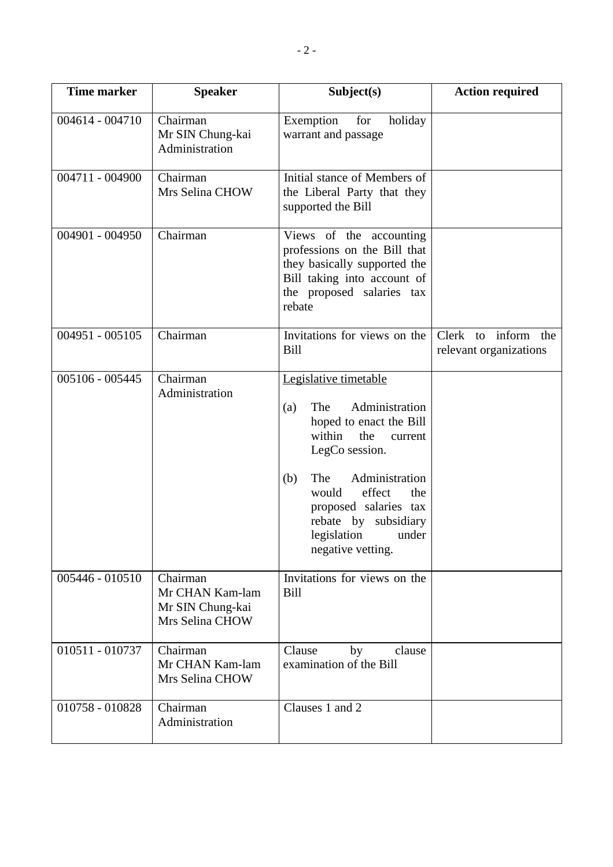| <b>Time marker</b> | <b>Speaker</b>                                                     | Subject(s)                                                                                                                                                                                                                                                                             | <b>Action required</b>                        |
|--------------------|--------------------------------------------------------------------|----------------------------------------------------------------------------------------------------------------------------------------------------------------------------------------------------------------------------------------------------------------------------------------|-----------------------------------------------|
| $004614 - 004710$  | Chairman<br>Mr SIN Chung-kai<br>Administration                     | Exemption<br>for<br>holiday<br>warrant and passage                                                                                                                                                                                                                                     |                                               |
| 004711 - 004900    | Chairman<br>Mrs Selina CHOW                                        | Initial stance of Members of<br>the Liberal Party that they<br>supported the Bill                                                                                                                                                                                                      |                                               |
| 004901 - 004950    | Chairman                                                           | Views of the accounting<br>professions on the Bill that<br>they basically supported the<br>Bill taking into account of<br>the proposed salaries tax<br>rebate                                                                                                                          |                                               |
| $004951 - 005105$  | Chairman                                                           | Invitations for views on the<br><b>Bill</b>                                                                                                                                                                                                                                            | Clerk to inform the<br>relevant organizations |
| $005106 - 005445$  | Chairman<br>Administration                                         | Legislative timetable<br>Administration<br>The<br>(a)<br>hoped to enact the Bill<br>within<br>the<br>current<br>LegCo session.<br>Administration<br>The<br>(b)<br>effect<br>would<br>the<br>proposed salaries tax<br>rebate by subsidiary<br>legislation<br>under<br>negative vetting. |                                               |
| 005446 - 010510    | Chairman<br>Mr CHAN Kam-lam<br>Mr SIN Chung-kai<br>Mrs Selina CHOW | Invitations for views on the<br>Bill                                                                                                                                                                                                                                                   |                                               |
| 010511 - 010737    | Chairman<br>Mr CHAN Kam-lam<br>Mrs Selina CHOW                     | Clause<br>clause<br>by<br>examination of the Bill                                                                                                                                                                                                                                      |                                               |
| 010758 - 010828    | Chairman<br>Administration                                         | Clauses 1 and 2                                                                                                                                                                                                                                                                        |                                               |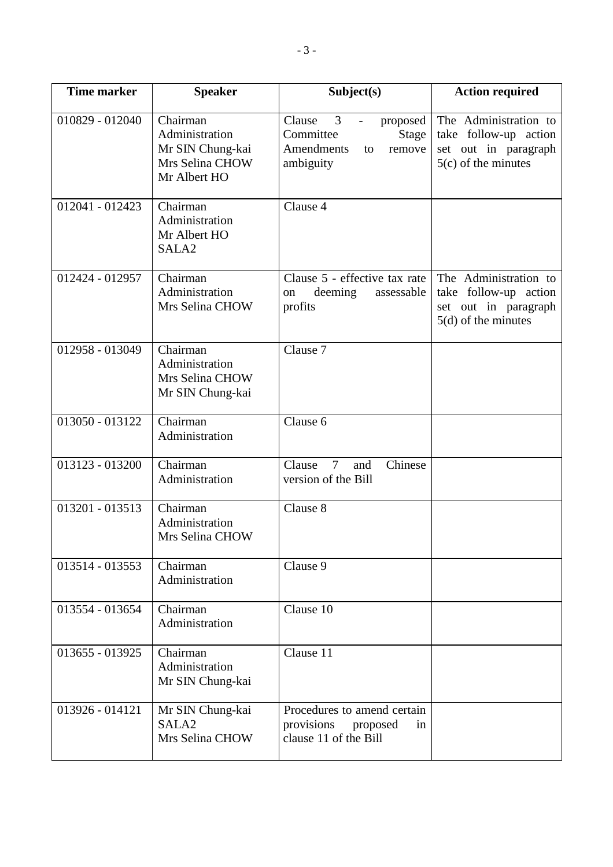| <b>Time marker</b> | <b>Speaker</b>                                                                    | Subject(s)                                                                                                           | <b>Action required</b>                                                                          |
|--------------------|-----------------------------------------------------------------------------------|----------------------------------------------------------------------------------------------------------------------|-------------------------------------------------------------------------------------------------|
| 010829 - 012040    | Chairman<br>Administration<br>Mr SIN Chung-kai<br>Mrs Selina CHOW<br>Mr Albert HO | 3<br>Clause<br>proposed<br>$\overline{\phantom{a}}$<br>Committee<br>Stage<br>Amendments<br>remove<br>to<br>ambiguity | The Administration to<br>take follow-up action<br>set out in paragraph<br>$5(c)$ of the minutes |
| $012041 - 012423$  | Chairman<br>Administration<br>Mr Albert HO<br>SALA <sub>2</sub>                   | Clause 4                                                                                                             |                                                                                                 |
| 012424 - 012957    | Chairman<br>Administration<br>Mrs Selina CHOW                                     | Clause 5 - effective tax rate<br>deeming<br>assessable<br>on<br>profits                                              | The Administration to<br>take follow-up action<br>set out in paragraph<br>$5(d)$ of the minutes |
| 012958 - 013049    | Chairman<br>Administration<br>Mrs Selina CHOW<br>Mr SIN Chung-kai                 | Clause 7                                                                                                             |                                                                                                 |
| 013050 - 013122    | Chairman<br>Administration                                                        | Clause 6                                                                                                             |                                                                                                 |
| 013123 - 013200    | Chairman<br>Administration                                                        | Chinese<br>$\overline{7}$<br>Clause<br>and<br>version of the Bill                                                    |                                                                                                 |
| 013201 - 013513    | Chairman<br>Administration<br>Mrs Selina CHOW                                     | Clause 8                                                                                                             |                                                                                                 |
| 013514 - 013553    | Chairman<br>Administration                                                        | Clause 9                                                                                                             |                                                                                                 |
| 013554 - 013654    | Chairman<br>Administration                                                        | Clause 10                                                                                                            |                                                                                                 |
| 013655 - 013925    | Chairman<br>Administration<br>Mr SIN Chung-kai                                    | Clause 11                                                                                                            |                                                                                                 |
| 013926 - 014121    | Mr SIN Chung-kai<br>SALA <sub>2</sub><br>Mrs Selina CHOW                          | Procedures to amend certain<br>provisions<br>proposed<br>in<br>clause 11 of the Bill                                 |                                                                                                 |